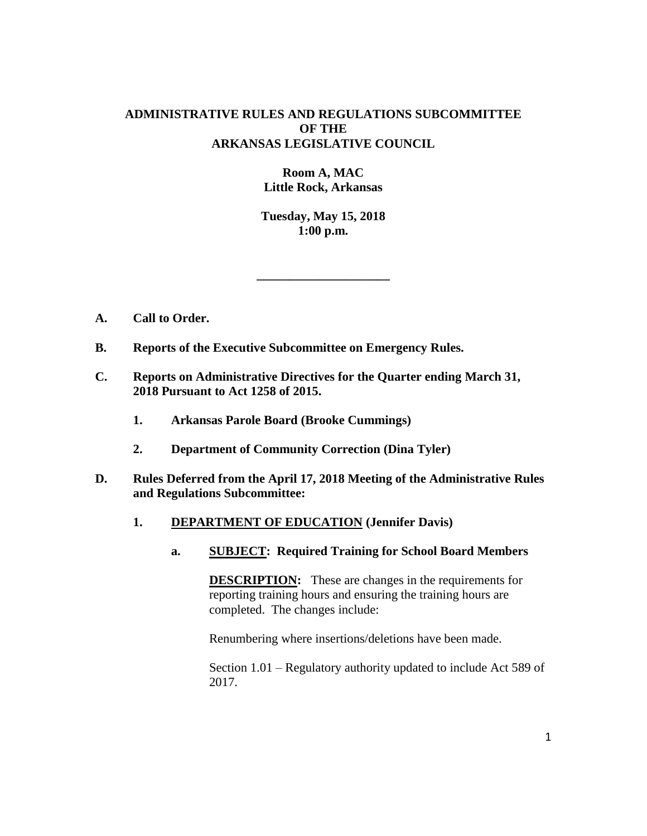## **ADMINISTRATIVE RULES AND REGULATIONS SUBCOMMITTEE OF THE ARKANSAS LEGISLATIVE COUNCIL**

# **Room A, MAC Little Rock, Arkansas**

**Tuesday, May 15, 2018 1:00 p.m.**

**\_\_\_\_\_\_\_\_\_\_\_\_\_\_\_\_\_\_\_\_\_**

- **A. Call to Order.**
- **B. Reports of the Executive Subcommittee on Emergency Rules.**
- **C. Reports on Administrative Directives for the Quarter ending March 31, 2018 Pursuant to Act 1258 of 2015.**
	- **1. Arkansas Parole Board (Brooke Cummings)**
	- **2. Department of Community Correction (Dina Tyler)**
- **D. Rules Deferred from the April 17, 2018 Meeting of the Administrative Rules and Regulations Subcommittee:**
	- **1. DEPARTMENT OF EDUCATION (Jennifer Davis)**
		- **a. SUBJECT: Required Training for School Board Members**

**DESCRIPTION:** These are changes in the requirements for reporting training hours and ensuring the training hours are completed. The changes include:

Renumbering where insertions/deletions have been made.

Section 1.01 – Regulatory authority updated to include Act 589 of 2017.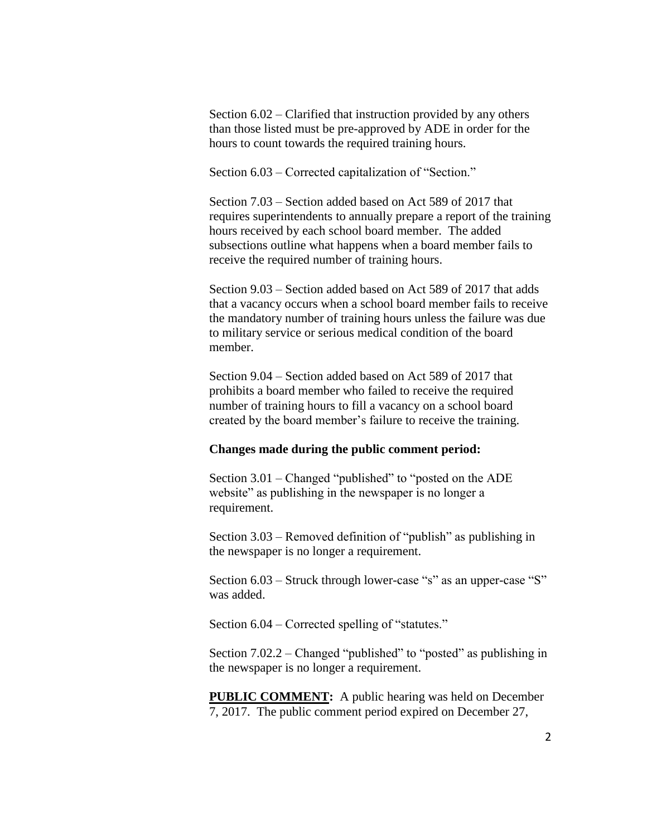Section 6.02 – Clarified that instruction provided by any others than those listed must be pre-approved by ADE in order for the hours to count towards the required training hours.

Section 6.03 – Corrected capitalization of "Section."

Section 7.03 – Section added based on Act 589 of 2017 that requires superintendents to annually prepare a report of the training hours received by each school board member. The added subsections outline what happens when a board member fails to receive the required number of training hours.

Section 9.03 – Section added based on Act 589 of 2017 that adds that a vacancy occurs when a school board member fails to receive the mandatory number of training hours unless the failure was due to military service or serious medical condition of the board member.

Section 9.04 – Section added based on Act 589 of 2017 that prohibits a board member who failed to receive the required number of training hours to fill a vacancy on a school board created by the board member's failure to receive the training.

#### **Changes made during the public comment period:**

Section 3.01 – Changed "published" to "posted on the ADE website" as publishing in the newspaper is no longer a requirement.

Section 3.03 – Removed definition of "publish" as publishing in the newspaper is no longer a requirement.

Section  $6.03$  – Struck through lower-case "s" as an upper-case "S" was added.

Section 6.04 – Corrected spelling of "statutes."

Section 7.02.2 – Changed "published" to "posted" as publishing in the newspaper is no longer a requirement.

**PUBLIC COMMENT:** A public hearing was held on December 7, 2017. The public comment period expired on December 27,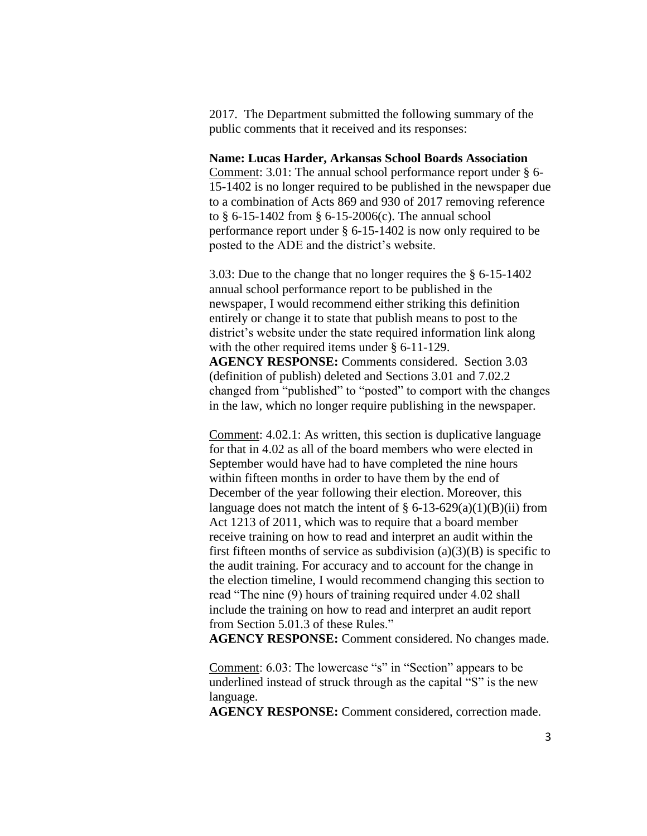2017. The Department submitted the following summary of the public comments that it received and its responses:

**Name: Lucas Harder, Arkansas School Boards Association** Comment: 3.01: The annual school performance report under § 6- 15-1402 is no longer required to be published in the newspaper due to a combination of Acts 869 and 930 of 2017 removing reference to § 6-15-1402 from § 6-15-2006(c). The annual school performance report under § 6-15-1402 is now only required to be posted to the ADE and the district's website.

3.03: Due to the change that no longer requires the § 6-15-1402 annual school performance report to be published in the newspaper, I would recommend either striking this definition entirely or change it to state that publish means to post to the district's website under the state required information link along with the other required items under § 6-11-129. **AGENCY RESPONSE:** Comments considered. Section 3.03 (definition of publish) deleted and Sections 3.01 and 7.02.2 changed from "published" to "posted" to comport with the changes in the law, which no longer require publishing in the newspaper.

Comment: 4.02.1: As written, this section is duplicative language for that in 4.02 as all of the board members who were elected in September would have had to have completed the nine hours within fifteen months in order to have them by the end of December of the year following their election. Moreover, this language does not match the intent of  $\S 6$ -13-629(a)(1)(B)(ii) from Act 1213 of 2011, which was to require that a board member receive training on how to read and interpret an audit within the first fifteen months of service as subdivision  $(a)(3)(B)$  is specific to the audit training. For accuracy and to account for the change in the election timeline, I would recommend changing this section to read "The nine (9) hours of training required under 4.02 shall include the training on how to read and interpret an audit report from Section 5.01.3 of these Rules."

**AGENCY RESPONSE:** Comment considered. No changes made.

Comment: 6.03: The lowercase "s" in "Section" appears to be underlined instead of struck through as the capital "S" is the new language.

**AGENCY RESPONSE:** Comment considered, correction made.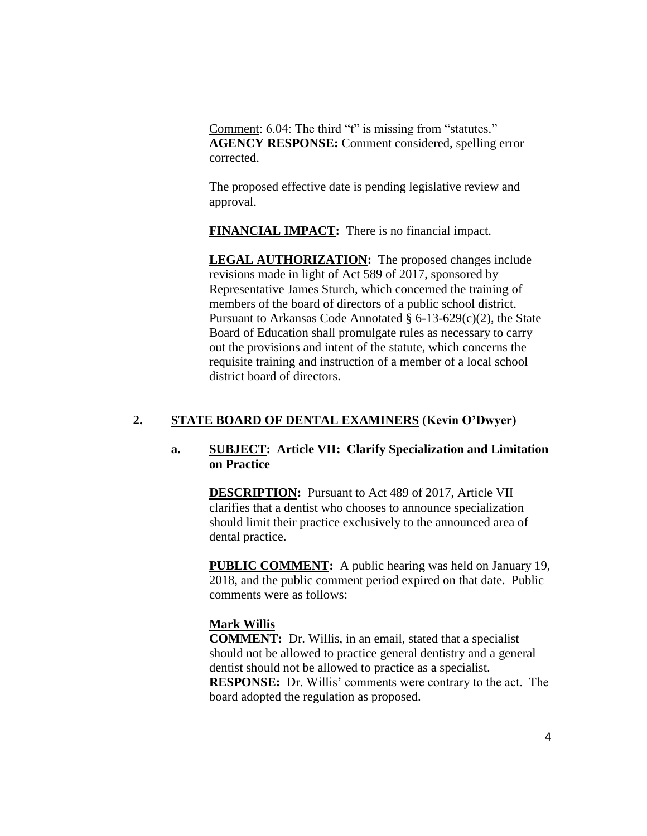Comment: 6.04: The third "t" is missing from "statutes." **AGENCY RESPONSE:** Comment considered, spelling error corrected.

The proposed effective date is pending legislative review and approval.

**FINANCIAL IMPACT:** There is no financial impact.

**LEGAL AUTHORIZATION:** The proposed changes include revisions made in light of Act 589 of 2017, sponsored by Representative James Sturch, which concerned the training of members of the board of directors of a public school district. Pursuant to Arkansas Code Annotated § 6-13-629(c)(2), the State Board of Education shall promulgate rules as necessary to carry out the provisions and intent of the statute, which concerns the requisite training and instruction of a member of a local school district board of directors.

# **2. STATE BOARD OF DENTAL EXAMINERS (Kevin O'Dwyer)**

## **a. SUBJECT: Article VII: Clarify Specialization and Limitation on Practice**

**DESCRIPTION:** Pursuant to Act 489 of 2017, Article VII clarifies that a dentist who chooses to announce specialization should limit their practice exclusively to the announced area of dental practice.

**PUBLIC COMMENT:** A public hearing was held on January 19, 2018, and the public comment period expired on that date. Public comments were as follows:

## **Mark Willis**

**COMMENT:** Dr. Willis, in an email, stated that a specialist should not be allowed to practice general dentistry and a general dentist should not be allowed to practice as a specialist. **RESPONSE:** Dr. Willis' comments were contrary to the act. The board adopted the regulation as proposed.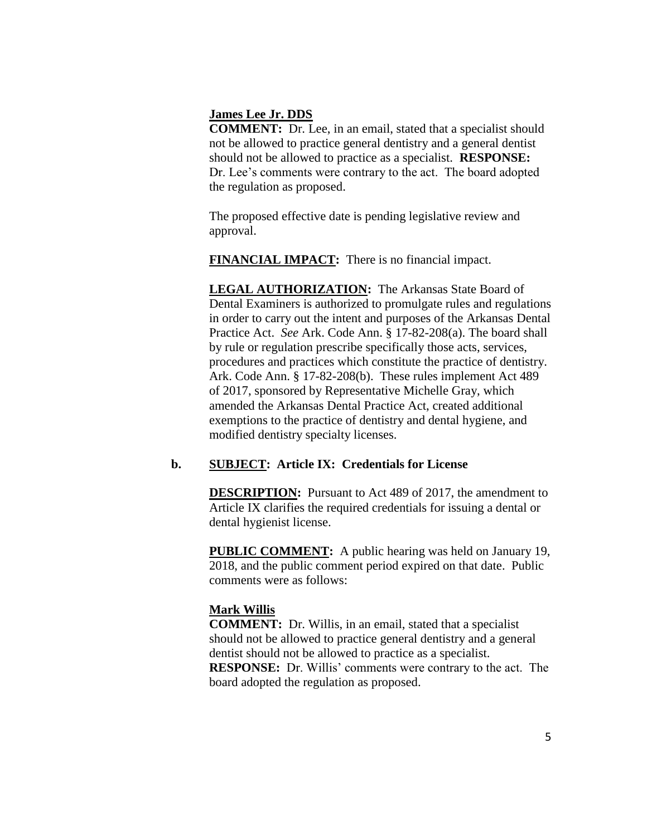#### **James Lee Jr. DDS**

**COMMENT:** Dr. Lee, in an email, stated that a specialist should not be allowed to practice general dentistry and a general dentist should not be allowed to practice as a specialist. **RESPONSE:**  Dr. Lee's comments were contrary to the act. The board adopted the regulation as proposed.

The proposed effective date is pending legislative review and approval.

**FINANCIAL IMPACT:** There is no financial impact.

**LEGAL AUTHORIZATION:** The Arkansas State Board of Dental Examiners is authorized to promulgate rules and regulations in order to carry out the intent and purposes of the Arkansas Dental Practice Act. *See* Ark. Code Ann. § 17-82-208(a). The board shall by rule or regulation prescribe specifically those acts, services, procedures and practices which constitute the practice of dentistry. Ark. Code Ann. § 17-82-208(b). These rules implement Act 489 of 2017, sponsored by Representative Michelle Gray, which amended the Arkansas Dental Practice Act, created additional exemptions to the practice of dentistry and dental hygiene, and modified dentistry specialty licenses.

# **b. SUBJECT: Article IX: Credentials for License**

**DESCRIPTION:** Pursuant to Act 489 of 2017, the amendment to Article IX clarifies the required credentials for issuing a dental or dental hygienist license.

**PUBLIC COMMENT:** A public hearing was held on January 19, 2018, and the public comment period expired on that date. Public comments were as follows:

# **Mark Willis**

**COMMENT:** Dr. Willis, in an email, stated that a specialist should not be allowed to practice general dentistry and a general dentist should not be allowed to practice as a specialist. **RESPONSE:** Dr. Willis' comments were contrary to the act. The board adopted the regulation as proposed.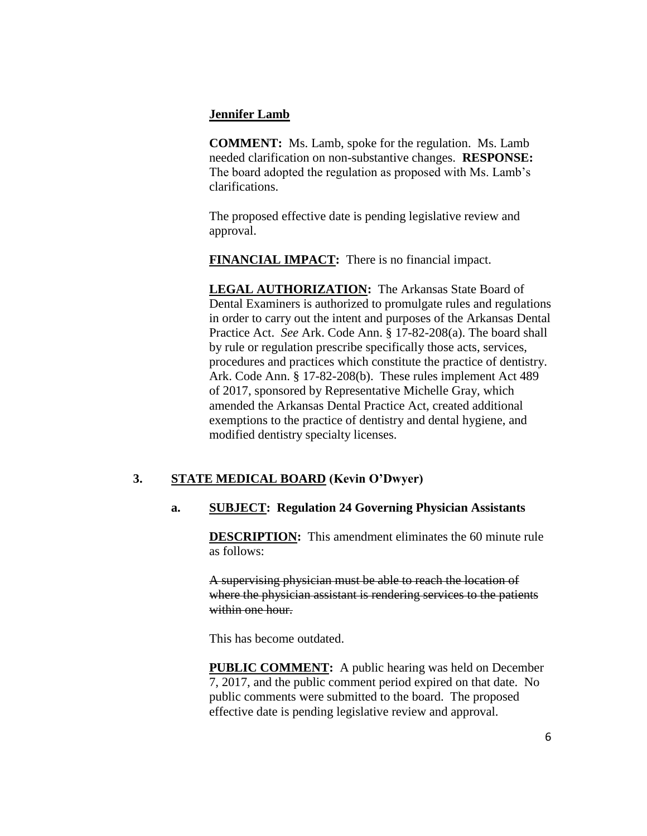## **Jennifer Lamb**

**COMMENT:** Ms. Lamb, spoke for the regulation. Ms. Lamb needed clarification on non-substantive changes. **RESPONSE:**  The board adopted the regulation as proposed with Ms. Lamb's clarifications.

The proposed effective date is pending legislative review and approval.

**FINANCIAL IMPACT:** There is no financial impact.

**LEGAL AUTHORIZATION:** The Arkansas State Board of Dental Examiners is authorized to promulgate rules and regulations in order to carry out the intent and purposes of the Arkansas Dental Practice Act. *See* Ark. Code Ann. § 17-82-208(a). The board shall by rule or regulation prescribe specifically those acts, services, procedures and practices which constitute the practice of dentistry. Ark. Code Ann. § 17-82-208(b). These rules implement Act 489 of 2017, sponsored by Representative Michelle Gray, which amended the Arkansas Dental Practice Act, created additional exemptions to the practice of dentistry and dental hygiene, and modified dentistry specialty licenses.

# **3. STATE MEDICAL BOARD (Kevin O'Dwyer)**

# **a. SUBJECT: Regulation 24 Governing Physician Assistants**

**DESCRIPTION:** This amendment eliminates the 60 minute rule as follows:

A supervising physician must be able to reach the location of where the physician assistant is rendering services to the patients within one hour.

This has become outdated.

**PUBLIC COMMENT:** A public hearing was held on December 7, 2017, and the public comment period expired on that date. No public comments were submitted to the board. The proposed effective date is pending legislative review and approval.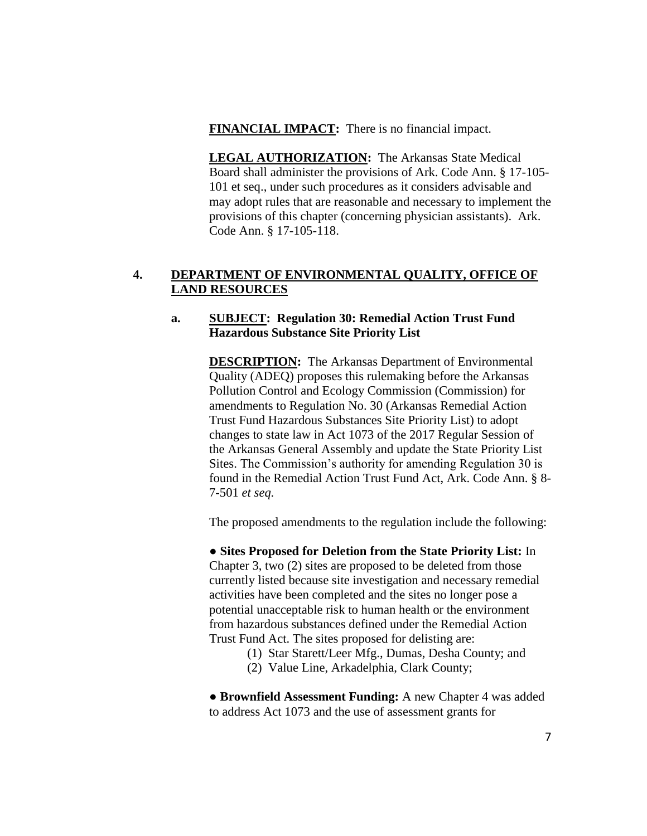#### **FINANCIAL IMPACT:** There is no financial impact.

**LEGAL AUTHORIZATION:** The Arkansas State Medical Board shall administer the provisions of Ark. Code Ann. § 17-105- 101 et seq., under such procedures as it considers advisable and may adopt rules that are reasonable and necessary to implement the provisions of this chapter (concerning physician assistants). Ark. Code Ann. § 17-105-118.

# **4. DEPARTMENT OF ENVIRONMENTAL QUALITY, OFFICE OF LAND RESOURCES**

## **a. SUBJECT: Regulation 30: Remedial Action Trust Fund Hazardous Substance Site Priority List**

**DESCRIPTION:** The Arkansas Department of Environmental Quality (ADEQ) proposes this rulemaking before the Arkansas Pollution Control and Ecology Commission (Commission) for amendments to Regulation No. 30 (Arkansas Remedial Action Trust Fund Hazardous Substances Site Priority List) to adopt changes to state law in Act 1073 of the 2017 Regular Session of the Arkansas General Assembly and update the State Priority List Sites. The Commission's authority for amending Regulation 30 is found in the Remedial Action Trust Fund Act, Ark. Code Ann. § 8- 7-501 *et seq.*

The proposed amendments to the regulation include the following:

● **Sites Proposed for Deletion from the State Priority List:** In Chapter 3, two (2) sites are proposed to be deleted from those currently listed because site investigation and necessary remedial activities have been completed and the sites no longer pose a potential unacceptable risk to human health or the environment from hazardous substances defined under the Remedial Action Trust Fund Act. The sites proposed for delisting are:

- (1) Star Starett/Leer Mfg., Dumas, Desha County; and
- (2) Value Line, Arkadelphia, Clark County;

● **Brownfield Assessment Funding:** A new Chapter 4 was added to address Act 1073 and the use of assessment grants for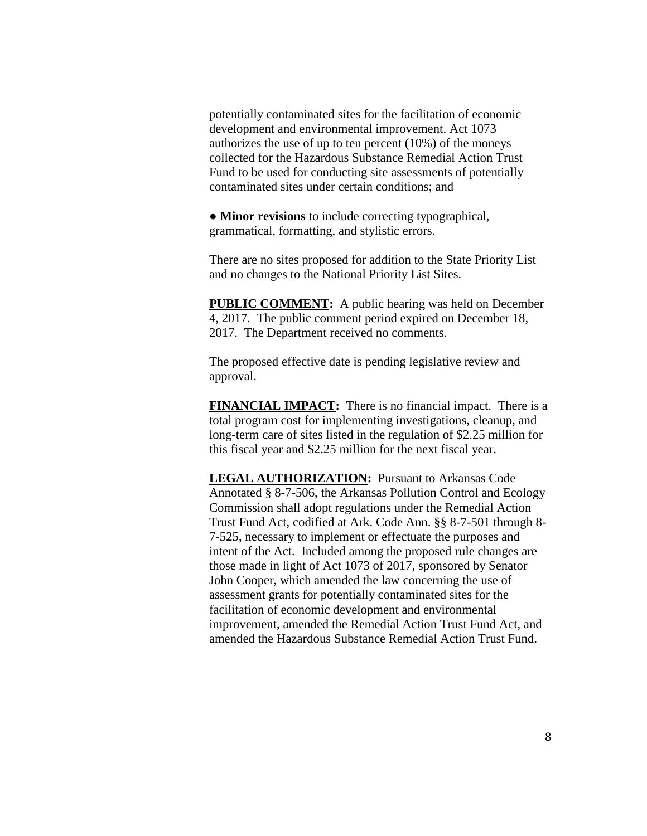potentially contaminated sites for the facilitation of economic development and environmental improvement. Act 1073 authorizes the use of up to ten percent (10%) of the moneys collected for the Hazardous Substance Remedial Action Trust Fund to be used for conducting site assessments of potentially contaminated sites under certain conditions; and

● **Minor revisions** to include correcting typographical, grammatical, formatting, and stylistic errors.

There are no sites proposed for addition to the State Priority List and no changes to the National Priority List Sites.

**PUBLIC COMMENT:** A public hearing was held on December 4, 2017. The public comment period expired on December 18, 2017. The Department received no comments.

The proposed effective date is pending legislative review and approval.

**FINANCIAL IMPACT:** There is no financial impact. There is a total program cost for implementing investigations, cleanup, and long-term care of sites listed in the regulation of \$2.25 million for this fiscal year and \$2.25 million for the next fiscal year.

**LEGAL AUTHORIZATION:** Pursuant to Arkansas Code Annotated § 8-7-506, the Arkansas Pollution Control and Ecology Commission shall adopt regulations under the Remedial Action Trust Fund Act, codified at Ark. Code Ann. §§ 8-7-501 through 8- 7-525, necessary to implement or effectuate the purposes and intent of the Act. Included among the proposed rule changes are those made in light of Act 1073 of 2017, sponsored by Senator John Cooper, which amended the law concerning the use of assessment grants for potentially contaminated sites for the facilitation of economic development and environmental improvement, amended the Remedial Action Trust Fund Act, and amended the Hazardous Substance Remedial Action Trust Fund.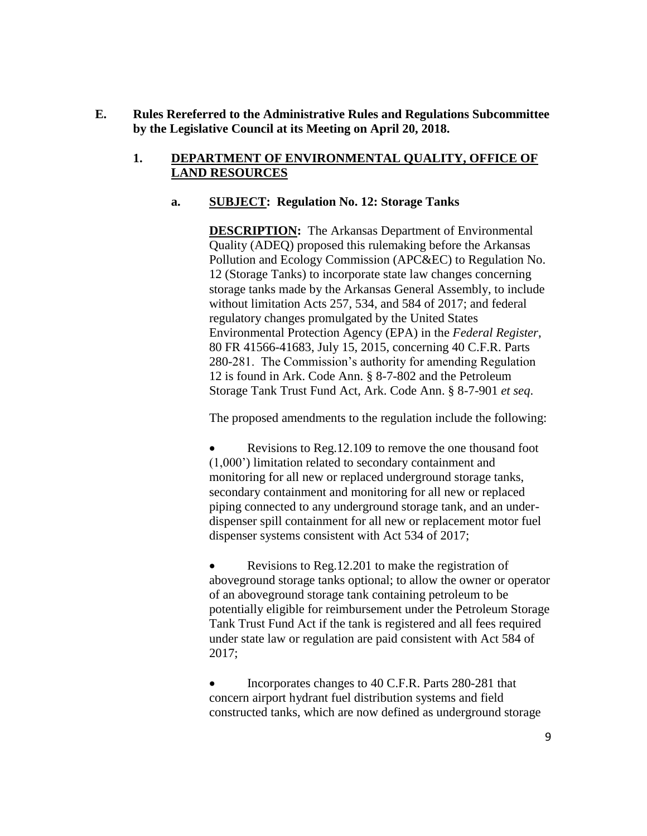## **E. Rules Rereferred to the Administrative Rules and Regulations Subcommittee by the Legislative Council at its Meeting on April 20, 2018.**

# **1. DEPARTMENT OF ENVIRONMENTAL QUALITY, OFFICE OF LAND RESOURCES**

# **a. SUBJECT: Regulation No. 12: Storage Tanks**

**DESCRIPTION:** The Arkansas Department of Environmental Quality (ADEQ) proposed this rulemaking before the Arkansas Pollution and Ecology Commission (APC&EC) to Regulation No. 12 (Storage Tanks) to incorporate state law changes concerning storage tanks made by the Arkansas General Assembly, to include without limitation Acts 257, 534, and 584 of 2017; and federal regulatory changes promulgated by the United States Environmental Protection Agency (EPA) in the *Federal Register*, 80 FR 41566-41683, July 15, 2015, concerning 40 C.F.R. Parts 280-281. The Commission's authority for amending Regulation 12 is found in Ark. Code Ann. § 8-7-802 and the Petroleum Storage Tank Trust Fund Act, Ark. Code Ann. § 8-7-901 *et seq*.

The proposed amendments to the regulation include the following:

• Revisions to Reg. 12.109 to remove the one thousand foot (1,000') limitation related to secondary containment and monitoring for all new or replaced underground storage tanks, secondary containment and monitoring for all new or replaced piping connected to any underground storage tank, and an underdispenser spill containment for all new or replacement motor fuel dispenser systems consistent with Act 534 of 2017;

• Revisions to Reg. 12.201 to make the registration of aboveground storage tanks optional; to allow the owner or operator of an aboveground storage tank containing petroleum to be potentially eligible for reimbursement under the Petroleum Storage Tank Trust Fund Act if the tank is registered and all fees required under state law or regulation are paid consistent with Act 584 of 2017;

 Incorporates changes to 40 C.F.R. Parts 280-281 that concern airport hydrant fuel distribution systems and field constructed tanks, which are now defined as underground storage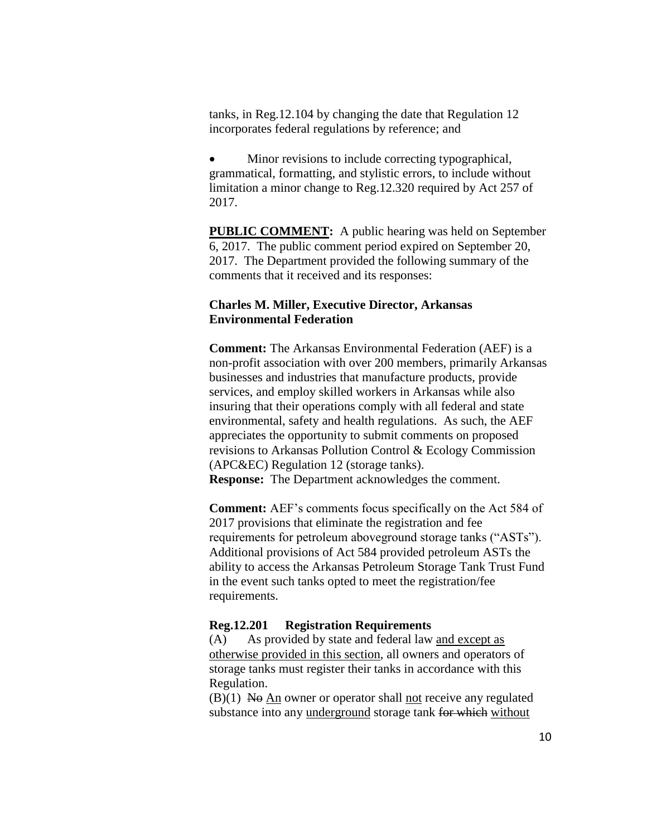tanks, in Reg.12.104 by changing the date that Regulation 12 incorporates federal regulations by reference; and

 Minor revisions to include correcting typographical, grammatical, formatting, and stylistic errors, to include without limitation a minor change to Reg.12.320 required by Act 257 of 2017.

**PUBLIC COMMENT:** A public hearing was held on September 6, 2017. The public comment period expired on September 20, 2017. The Department provided the following summary of the comments that it received and its responses:

## **Charles M. Miller, Executive Director, Arkansas Environmental Federation**

**Comment:** The Arkansas Environmental Federation (AEF) is a non-profit association with over 200 members, primarily Arkansas businesses and industries that manufacture products, provide services, and employ skilled workers in Arkansas while also insuring that their operations comply with all federal and state environmental, safety and health regulations. As such, the AEF appreciates the opportunity to submit comments on proposed revisions to Arkansas Pollution Control & Ecology Commission (APC&EC) Regulation 12 (storage tanks). **Response:** The Department acknowledges the comment.

**Comment:** AEF's comments focus specifically on the Act 584 of 2017 provisions that eliminate the registration and fee requirements for petroleum aboveground storage tanks ("ASTs"). Additional provisions of Act 584 provided petroleum ASTs the ability to access the Arkansas Petroleum Storage Tank Trust Fund in the event such tanks opted to meet the registration/fee requirements.

#### **Reg.12.201 Registration Requirements**

(A) As provided by state and federal law and except as otherwise provided in this section, all owners and operators of storage tanks must register their tanks in accordance with this Regulation.

 $(B)(1)$  No An owner or operator shall not receive any regulated substance into any underground storage tank for which without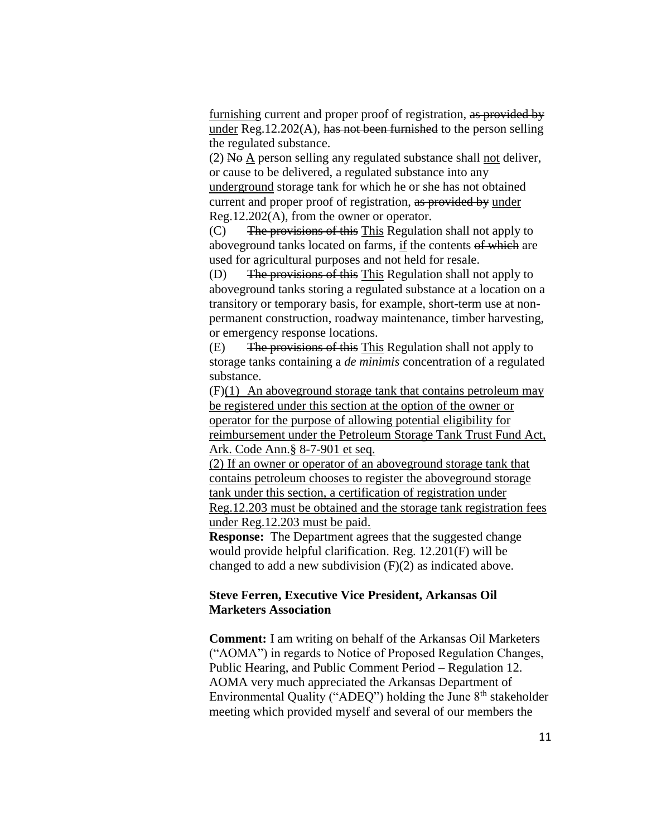furnishing current and proper proof of registration, as provided by under Reg.12.202(A), has not been furnished to the person selling the regulated substance.

 $(2)$  No A person selling any regulated substance shall not deliver, or cause to be delivered, a regulated substance into any underground storage tank for which he or she has not obtained current and proper proof of registration, as provided by under Reg.12.202(A), from the owner or operator.

(C) The provisions of this This Regulation shall not apply to aboveground tanks located on farms, if the contents of which are used for agricultural purposes and not held for resale.

(D) The provisions of this This Regulation shall not apply to aboveground tanks storing a regulated substance at a location on a transitory or temporary basis, for example, short-term use at nonpermanent construction, roadway maintenance, timber harvesting, or emergency response locations.

(E) The provisions of this This Regulation shall not apply to storage tanks containing a *de minimis* concentration of a regulated substance.

(F)(1) An aboveground storage tank that contains petroleum may be registered under this section at the option of the owner or operator for the purpose of allowing potential eligibility for reimbursement under the Petroleum Storage Tank Trust Fund Act, Ark. Code Ann.§ 8-7-901 et seq.

(2) If an owner or operator of an aboveground storage tank that contains petroleum chooses to register the aboveground storage tank under this section, a certification of registration under Reg.12.203 must be obtained and the storage tank registration fees under Reg.12.203 must be paid.

**Response:** The Department agrees that the suggested change would provide helpful clarification. Reg. 12.201(F) will be changed to add a new subdivision  $(F)(2)$  as indicated above.

## **Steve Ferren, Executive Vice President, Arkansas Oil Marketers Association**

**Comment:** I am writing on behalf of the Arkansas Oil Marketers ("AOMA") in regards to Notice of Proposed Regulation Changes, Public Hearing, and Public Comment Period – Regulation 12. AOMA very much appreciated the Arkansas Department of Environmental Quality ("ADEQ") holding the June 8<sup>th</sup> stakeholder meeting which provided myself and several of our members the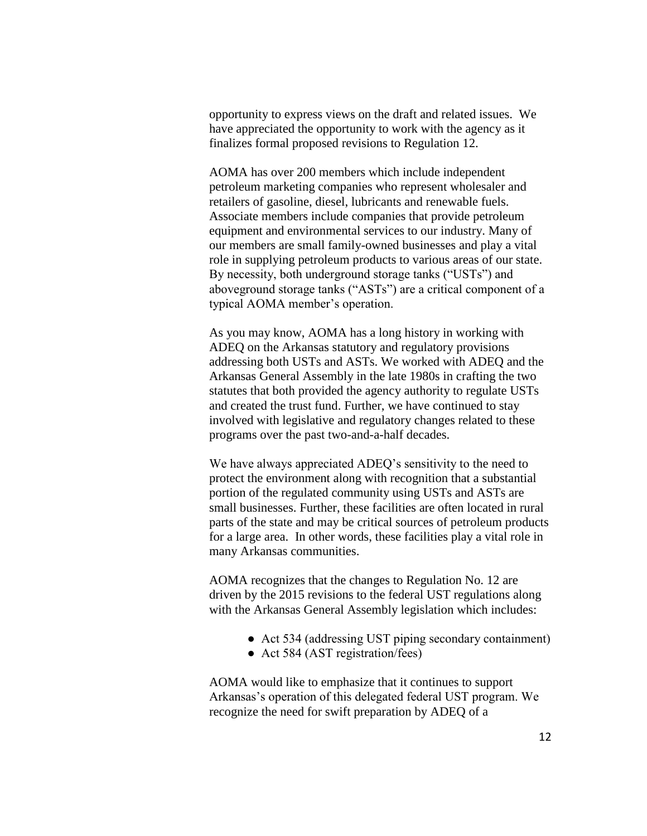opportunity to express views on the draft and related issues. We have appreciated the opportunity to work with the agency as it finalizes formal proposed revisions to Regulation 12.

AOMA has over 200 members which include independent petroleum marketing companies who represent wholesaler and retailers of gasoline, diesel, lubricants and renewable fuels. Associate members include companies that provide petroleum equipment and environmental services to our industry. Many of our members are small family-owned businesses and play a vital role in supplying petroleum products to various areas of our state. By necessity, both underground storage tanks ("USTs") and aboveground storage tanks ("ASTs") are a critical component of a typical AOMA member's operation.

As you may know, AOMA has a long history in working with ADEQ on the Arkansas statutory and regulatory provisions addressing both USTs and ASTs. We worked with ADEQ and the Arkansas General Assembly in the late 1980s in crafting the two statutes that both provided the agency authority to regulate USTs and created the trust fund. Further, we have continued to stay involved with legislative and regulatory changes related to these programs over the past two-and-a-half decades.

We have always appreciated ADEQ's sensitivity to the need to protect the environment along with recognition that a substantial portion of the regulated community using USTs and ASTs are small businesses. Further, these facilities are often located in rural parts of the state and may be critical sources of petroleum products for a large area. In other words, these facilities play a vital role in many Arkansas communities.

AOMA recognizes that the changes to Regulation No. 12 are driven by the 2015 revisions to the federal UST regulations along with the Arkansas General Assembly legislation which includes:

- Act 534 (addressing UST piping secondary containment)
- Act 584 (AST registration/fees)

AOMA would like to emphasize that it continues to support Arkansas's operation of this delegated federal UST program. We recognize the need for swift preparation by ADEQ of a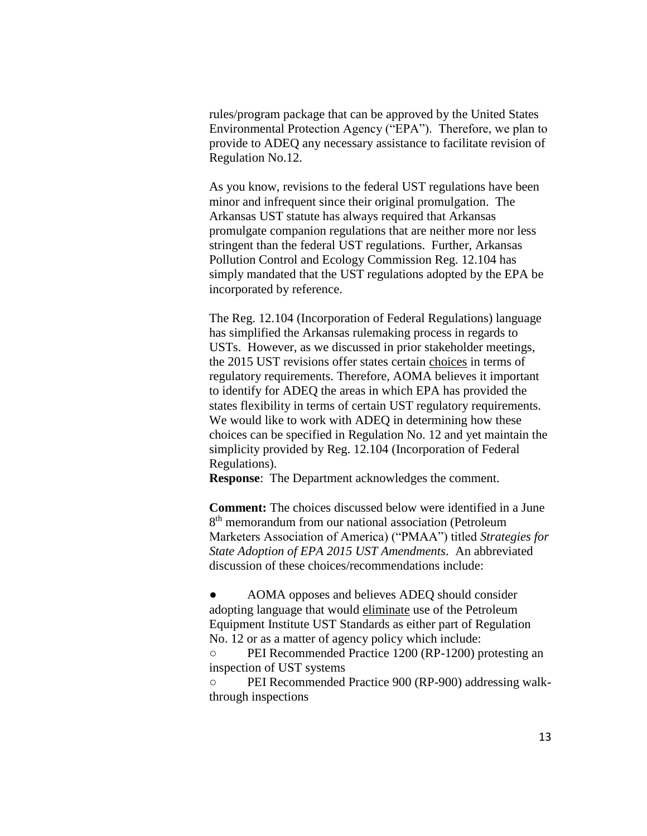rules/program package that can be approved by the United States Environmental Protection Agency ("EPA"). Therefore, we plan to provide to ADEQ any necessary assistance to facilitate revision of Regulation No.12.

As you know, revisions to the federal UST regulations have been minor and infrequent since their original promulgation. The Arkansas UST statute has always required that Arkansas promulgate companion regulations that are neither more nor less stringent than the federal UST regulations. Further, Arkansas Pollution Control and Ecology Commission Reg. 12.104 has simply mandated that the UST regulations adopted by the EPA be incorporated by reference.

The Reg. 12.104 (Incorporation of Federal Regulations) language has simplified the Arkansas rulemaking process in regards to USTs. However, as we discussed in prior stakeholder meetings, the 2015 UST revisions offer states certain choices in terms of regulatory requirements. Therefore, AOMA believes it important to identify for ADEQ the areas in which EPA has provided the states flexibility in terms of certain UST regulatory requirements. We would like to work with ADEQ in determining how these choices can be specified in Regulation No. 12 and yet maintain the simplicity provided by Reg. 12.104 (Incorporation of Federal Regulations).

**Response**: The Department acknowledges the comment.

**Comment:** The choices discussed below were identified in a June 8<sup>th</sup> memorandum from our national association (Petroleum Marketers Association of America) ("PMAA") titled *Strategies for State Adoption of EPA 2015 UST Amendments*. An abbreviated discussion of these choices/recommendations include:

AOMA opposes and believes ADEQ should consider adopting language that would eliminate use of the Petroleum Equipment Institute UST Standards as either part of Regulation No. 12 or as a matter of agency policy which include:

○ PEI Recommended Practice 1200 (RP-1200) protesting an inspection of UST systems

○ PEI Recommended Practice 900 (RP-900) addressing walkthrough inspections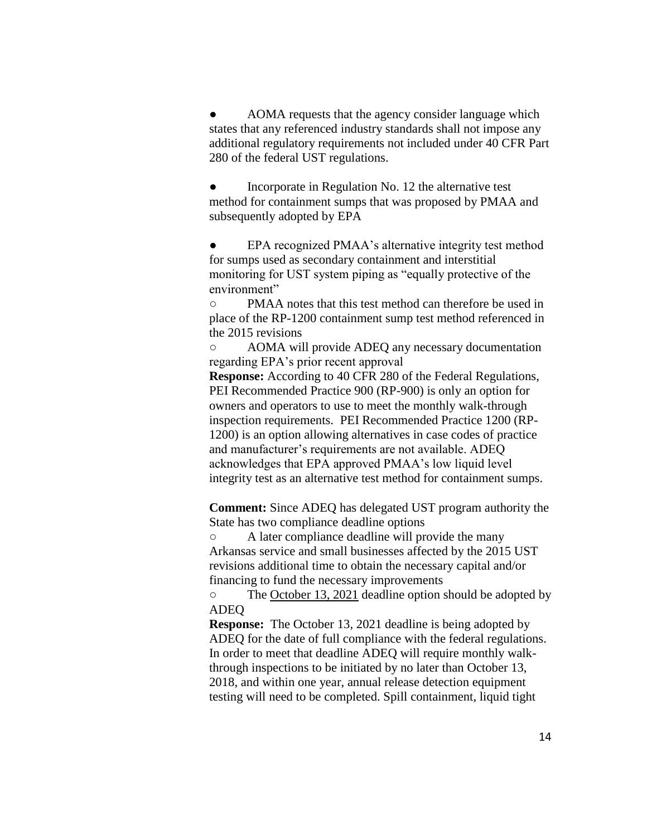AOMA requests that the agency consider language which states that any referenced industry standards shall not impose any additional regulatory requirements not included under 40 CFR Part 280 of the federal UST regulations.

Incorporate in Regulation No. 12 the alternative test method for containment sumps that was proposed by PMAA and subsequently adopted by EPA

EPA recognized PMAA's alternative integrity test method for sumps used as secondary containment and interstitial monitoring for UST system piping as "equally protective of the environment"

○ PMAA notes that this test method can therefore be used in place of the RP-1200 containment sump test method referenced in the 2015 revisions

○ AOMA will provide ADEQ any necessary documentation regarding EPA's prior recent approval

**Response:** According to 40 CFR 280 of the Federal Regulations, PEI Recommended Practice 900 (RP-900) is only an option for owners and operators to use to meet the monthly walk-through inspection requirements. PEI Recommended Practice 1200 (RP-1200) is an option allowing alternatives in case codes of practice and manufacturer's requirements are not available. ADEQ acknowledges that EPA approved PMAA's low liquid level integrity test as an alternative test method for containment sumps.

**Comment:** Since ADEQ has delegated UST program authority the State has two compliance deadline options

○ A later compliance deadline will provide the many Arkansas service and small businesses affected by the 2015 UST revisions additional time to obtain the necessary capital and/or financing to fund the necessary improvements

○ The October 13, 2021 deadline option should be adopted by ADEQ

**Response:** The October 13, 2021 deadline is being adopted by ADEQ for the date of full compliance with the federal regulations. In order to meet that deadline ADEQ will require monthly walkthrough inspections to be initiated by no later than October 13, 2018, and within one year, annual release detection equipment testing will need to be completed. Spill containment, liquid tight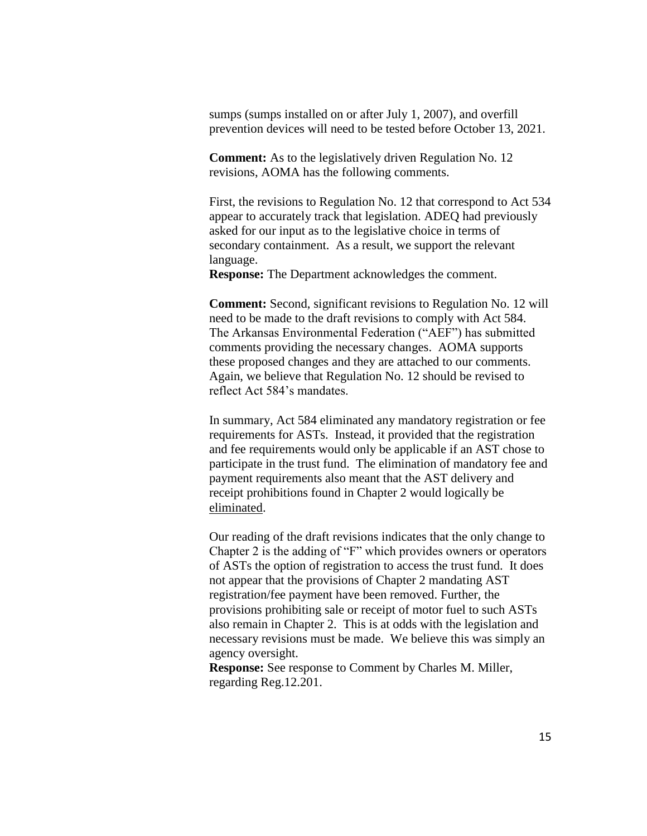sumps (sumps installed on or after July 1, 2007), and overfill prevention devices will need to be tested before October 13, 2021.

**Comment:** As to the legislatively driven Regulation No. 12 revisions, AOMA has the following comments.

First, the revisions to Regulation No. 12 that correspond to Act 534 appear to accurately track that legislation. ADEQ had previously asked for our input as to the legislative choice in terms of secondary containment. As a result, we support the relevant language.

**Response:** The Department acknowledges the comment.

**Comment:** Second, significant revisions to Regulation No. 12 will need to be made to the draft revisions to comply with Act 584. The Arkansas Environmental Federation ("AEF") has submitted comments providing the necessary changes. AOMA supports these proposed changes and they are attached to our comments. Again, we believe that Regulation No. 12 should be revised to reflect Act 584's mandates.

In summary, Act 584 eliminated any mandatory registration or fee requirements for ASTs. Instead, it provided that the registration and fee requirements would only be applicable if an AST chose to participate in the trust fund. The elimination of mandatory fee and payment requirements also meant that the AST delivery and receipt prohibitions found in Chapter 2 would logically be eliminated.

Our reading of the draft revisions indicates that the only change to Chapter 2 is the adding of "F" which provides owners or operators of ASTs the option of registration to access the trust fund. It does not appear that the provisions of Chapter 2 mandating AST registration/fee payment have been removed. Further, the provisions prohibiting sale or receipt of motor fuel to such ASTs also remain in Chapter 2. This is at odds with the legislation and necessary revisions must be made. We believe this was simply an agency oversight.

**Response:** See response to Comment by Charles M. Miller, regarding Reg.12.201.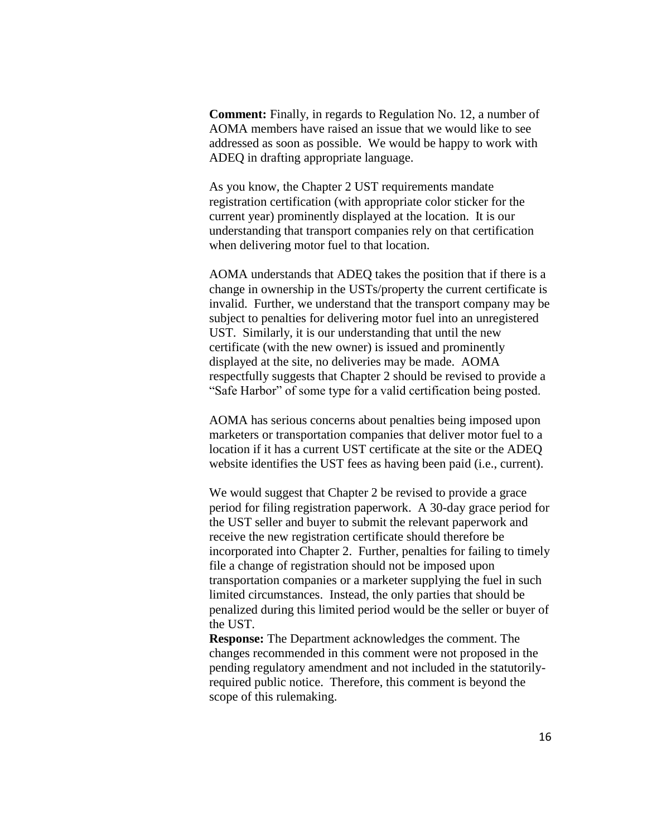**Comment:** Finally, in regards to Regulation No. 12, a number of AOMA members have raised an issue that we would like to see addressed as soon as possible. We would be happy to work with ADEQ in drafting appropriate language.

As you know, the Chapter 2 UST requirements mandate registration certification (with appropriate color sticker for the current year) prominently displayed at the location. It is our understanding that transport companies rely on that certification when delivering motor fuel to that location.

AOMA understands that ADEQ takes the position that if there is a change in ownership in the USTs/property the current certificate is invalid. Further, we understand that the transport company may be subject to penalties for delivering motor fuel into an unregistered UST. Similarly, it is our understanding that until the new certificate (with the new owner) is issued and prominently displayed at the site, no deliveries may be made. AOMA respectfully suggests that Chapter 2 should be revised to provide a "Safe Harbor" of some type for a valid certification being posted.

AOMA has serious concerns about penalties being imposed upon marketers or transportation companies that deliver motor fuel to a location if it has a current UST certificate at the site or the ADEQ website identifies the UST fees as having been paid (i.e., current).

We would suggest that Chapter 2 be revised to provide a grace period for filing registration paperwork. A 30-day grace period for the UST seller and buyer to submit the relevant paperwork and receive the new registration certificate should therefore be incorporated into Chapter 2. Further, penalties for failing to timely file a change of registration should not be imposed upon transportation companies or a marketer supplying the fuel in such limited circumstances. Instead, the only parties that should be penalized during this limited period would be the seller or buyer of the UST.

**Response:** The Department acknowledges the comment. The changes recommended in this comment were not proposed in the pending regulatory amendment and not included in the statutorilyrequired public notice. Therefore, this comment is beyond the scope of this rulemaking.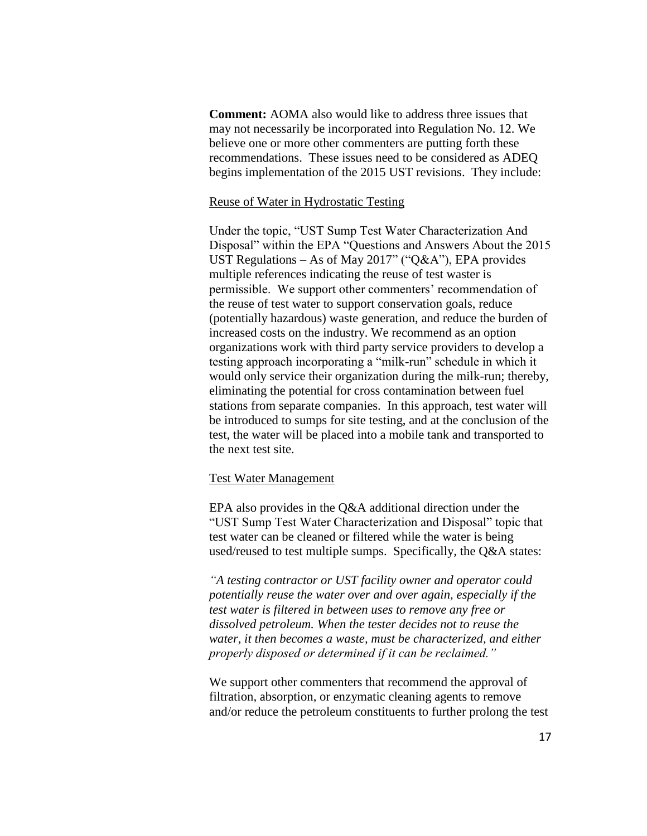**Comment:** AOMA also would like to address three issues that may not necessarily be incorporated into Regulation No. 12. We believe one or more other commenters are putting forth these recommendations. These issues need to be considered as ADEQ begins implementation of the 2015 UST revisions. They include:

#### Reuse of Water in Hydrostatic Testing

Under the topic, "UST Sump Test Water Characterization And Disposal" within the EPA "Questions and Answers About the 2015 UST Regulations – As of May 2017" ("Q&A"), EPA provides multiple references indicating the reuse of test waster is permissible. We support other commenters' recommendation of the reuse of test water to support conservation goals, reduce (potentially hazardous) waste generation, and reduce the burden of increased costs on the industry. We recommend as an option organizations work with third party service providers to develop a testing approach incorporating a "milk-run" schedule in which it would only service their organization during the milk-run; thereby, eliminating the potential for cross contamination between fuel stations from separate companies. In this approach, test water will be introduced to sumps for site testing, and at the conclusion of the test, the water will be placed into a mobile tank and transported to the next test site.

#### Test Water Management

EPA also provides in the Q&A additional direction under the "UST Sump Test Water Characterization and Disposal" topic that test water can be cleaned or filtered while the water is being used/reused to test multiple sumps. Specifically, the Q&A states:

*"A testing contractor or UST facility owner and operator could potentially reuse the water over and over again, especially if the test water is filtered in between uses to remove any free or dissolved petroleum. When the tester decides not to reuse the water, it then becomes a waste, must be characterized, and either properly disposed or determined if it can be reclaimed."*

We support other commenters that recommend the approval of filtration, absorption, or enzymatic cleaning agents to remove and/or reduce the petroleum constituents to further prolong the test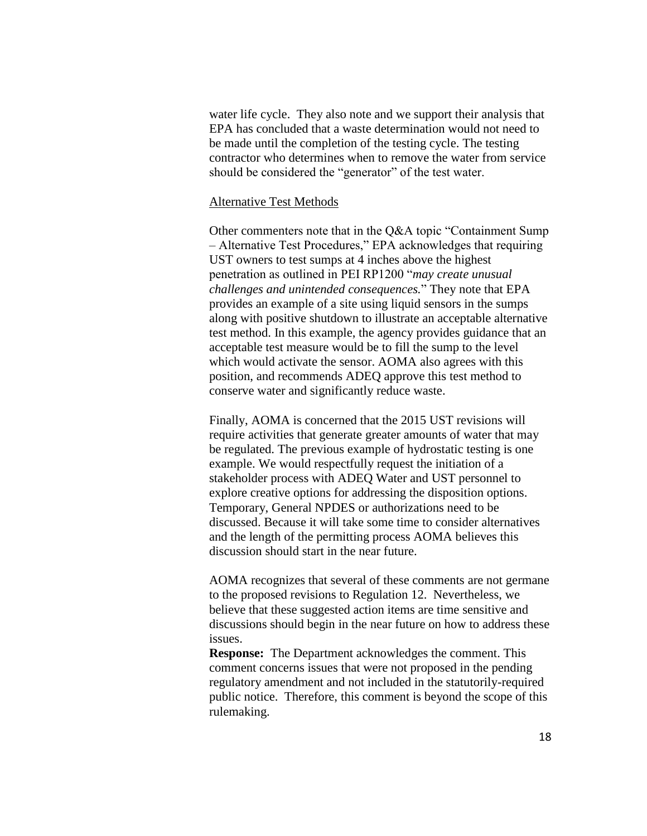water life cycle. They also note and we support their analysis that EPA has concluded that a waste determination would not need to be made until the completion of the testing cycle. The testing contractor who determines when to remove the water from service should be considered the "generator" of the test water.

#### Alternative Test Methods

Other commenters note that in the Q&A topic "Containment Sump – Alternative Test Procedures," EPA acknowledges that requiring UST owners to test sumps at 4 inches above the highest penetration as outlined in PEI RP1200 "*may create unusual challenges and unintended consequences.*" They note that EPA provides an example of a site using liquid sensors in the sumps along with positive shutdown to illustrate an acceptable alternative test method. In this example, the agency provides guidance that an acceptable test measure would be to fill the sump to the level which would activate the sensor. AOMA also agrees with this position, and recommends ADEQ approve this test method to conserve water and significantly reduce waste.

Finally, AOMA is concerned that the 2015 UST revisions will require activities that generate greater amounts of water that may be regulated. The previous example of hydrostatic testing is one example. We would respectfully request the initiation of a stakeholder process with ADEQ Water and UST personnel to explore creative options for addressing the disposition options. Temporary, General NPDES or authorizations need to be discussed. Because it will take some time to consider alternatives and the length of the permitting process AOMA believes this discussion should start in the near future.

AOMA recognizes that several of these comments are not germane to the proposed revisions to Regulation 12. Nevertheless, we believe that these suggested action items are time sensitive and discussions should begin in the near future on how to address these issues.

**Response:** The Department acknowledges the comment. This comment concerns issues that were not proposed in the pending regulatory amendment and not included in the statutorily-required public notice. Therefore, this comment is beyond the scope of this rulemaking.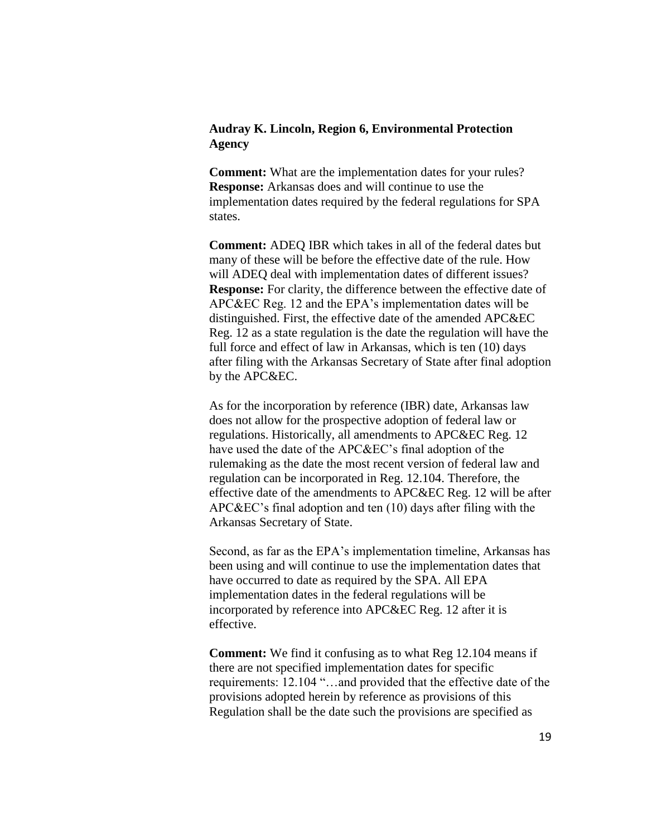## **Audray K. Lincoln, Region 6, Environmental Protection Agency**

**Comment:** What are the implementation dates for your rules? **Response:** Arkansas does and will continue to use the implementation dates required by the federal regulations for SPA states.

**Comment:** ADEQ IBR which takes in all of the federal dates but many of these will be before the effective date of the rule. How will ADEQ deal with implementation dates of different issues? **Response:** For clarity, the difference between the effective date of APC&EC Reg. 12 and the EPA's implementation dates will be distinguished. First, the effective date of the amended APC&EC Reg. 12 as a state regulation is the date the regulation will have the full force and effect of law in Arkansas, which is ten (10) days after filing with the Arkansas Secretary of State after final adoption by the APC&EC.

As for the incorporation by reference (IBR) date, Arkansas law does not allow for the prospective adoption of federal law or regulations. Historically, all amendments to APC&EC Reg. 12 have used the date of the APC&EC's final adoption of the rulemaking as the date the most recent version of federal law and regulation can be incorporated in Reg. 12.104. Therefore, the effective date of the amendments to APC&EC Reg. 12 will be after APC&EC's final adoption and ten (10) days after filing with the Arkansas Secretary of State.

Second, as far as the EPA's implementation timeline, Arkansas has been using and will continue to use the implementation dates that have occurred to date as required by the SPA. All EPA implementation dates in the federal regulations will be incorporated by reference into APC&EC Reg. 12 after it is effective.

**Comment:** We find it confusing as to what Reg 12.104 means if there are not specified implementation dates for specific requirements: 12.104 "…and provided that the effective date of the provisions adopted herein by reference as provisions of this Regulation shall be the date such the provisions are specified as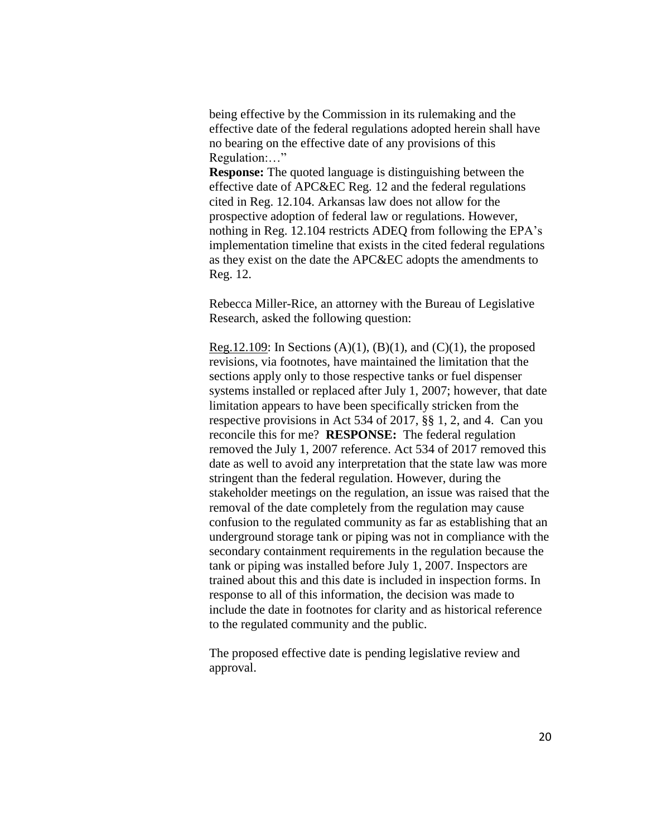being effective by the Commission in its rulemaking and the effective date of the federal regulations adopted herein shall have no bearing on the effective date of any provisions of this Regulation:…"

**Response:** The quoted language is distinguishing between the effective date of APC&EC Reg. 12 and the federal regulations cited in Reg. 12.104. Arkansas law does not allow for the prospective adoption of federal law or regulations. However, nothing in Reg. 12.104 restricts ADEQ from following the EPA's implementation timeline that exists in the cited federal regulations as they exist on the date the APC&EC adopts the amendments to Reg. 12.

Rebecca Miller-Rice, an attorney with the Bureau of Legislative Research, asked the following question:

Reg.12.109: In Sections  $(A)(1)$ ,  $(B)(1)$ , and  $(C)(1)$ , the proposed revisions, via footnotes, have maintained the limitation that the sections apply only to those respective tanks or fuel dispenser systems installed or replaced after July 1, 2007; however, that date limitation appears to have been specifically stricken from the respective provisions in Act 534 of 2017, §§ 1, 2, and 4. Can you reconcile this for me? **RESPONSE:** The federal regulation removed the July 1, 2007 reference. Act 534 of 2017 removed this date as well to avoid any interpretation that the state law was more stringent than the federal regulation. However, during the stakeholder meetings on the regulation, an issue was raised that the removal of the date completely from the regulation may cause confusion to the regulated community as far as establishing that an underground storage tank or piping was not in compliance with the secondary containment requirements in the regulation because the tank or piping was installed before July 1, 2007. Inspectors are trained about this and this date is included in inspection forms. In response to all of this information, the decision was made to include the date in footnotes for clarity and as historical reference to the regulated community and the public.

The proposed effective date is pending legislative review and approval.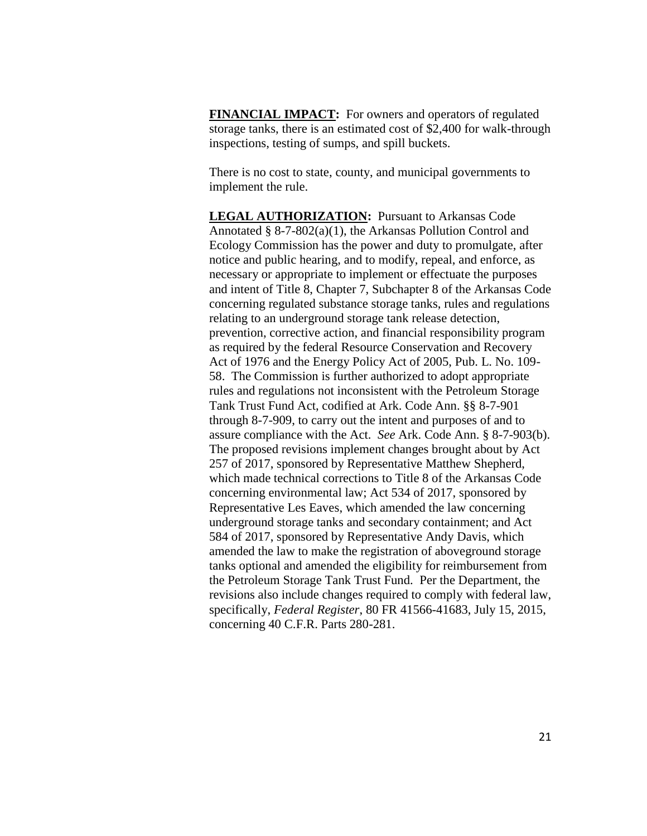**FINANCIAL IMPACT:** For owners and operators of regulated storage tanks, there is an estimated cost of \$2,400 for walk-through inspections, testing of sumps, and spill buckets.

There is no cost to state, county, and municipal governments to implement the rule.

**LEGAL AUTHORIZATION:** Pursuant to Arkansas Code Annotated § 8-7-802(a)(1), the Arkansas Pollution Control and Ecology Commission has the power and duty to promulgate, after notice and public hearing, and to modify, repeal, and enforce, as necessary or appropriate to implement or effectuate the purposes and intent of Title 8, Chapter 7, Subchapter 8 of the Arkansas Code concerning regulated substance storage tanks, rules and regulations relating to an underground storage tank release detection, prevention, corrective action, and financial responsibility program as required by the federal Resource Conservation and Recovery Act of 1976 and the Energy Policy Act of 2005, Pub. L. No. 109- 58. The Commission is further authorized to adopt appropriate rules and regulations not inconsistent with the Petroleum Storage Tank Trust Fund Act, codified at Ark. Code Ann. §§ 8-7-901 through 8-7-909, to carry out the intent and purposes of and to assure compliance with the Act. *See* Ark. Code Ann. § 8-7-903(b). The proposed revisions implement changes brought about by Act 257 of 2017, sponsored by Representative Matthew Shepherd, which made technical corrections to Title 8 of the Arkansas Code concerning environmental law; Act 534 of 2017, sponsored by Representative Les Eaves, which amended the law concerning underground storage tanks and secondary containment; and Act 584 of 2017, sponsored by Representative Andy Davis, which amended the law to make the registration of aboveground storage tanks optional and amended the eligibility for reimbursement from the Petroleum Storage Tank Trust Fund. Per the Department, the revisions also include changes required to comply with federal law, specifically, *Federal Register*, 80 FR 41566-41683, July 15, 2015, concerning 40 C.F.R. Parts 280-281.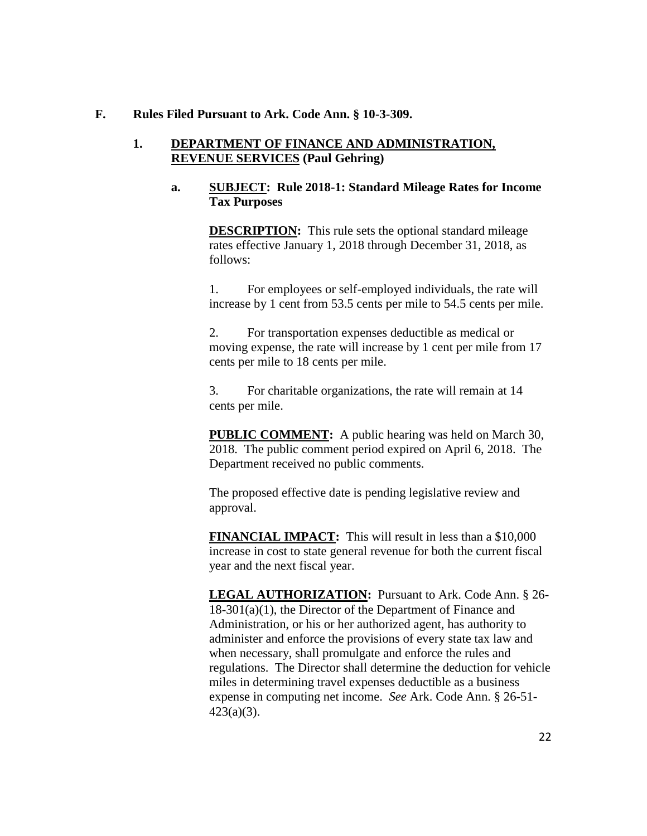#### **F. Rules Filed Pursuant to Ark. Code Ann. § 10-3-309.**

#### **1. DEPARTMENT OF FINANCE AND ADMINISTRATION, REVENUE SERVICES (Paul Gehring)**

#### **a. SUBJECT: Rule 2018-1: Standard Mileage Rates for Income Tax Purposes**

**DESCRIPTION:** This rule sets the optional standard mileage rates effective January 1, 2018 through December 31, 2018, as follows:

1. For employees or self-employed individuals, the rate will increase by 1 cent from 53.5 cents per mile to 54.5 cents per mile.

2. For transportation expenses deductible as medical or moving expense, the rate will increase by 1 cent per mile from 17 cents per mile to 18 cents per mile.

3. For charitable organizations, the rate will remain at 14 cents per mile.

**PUBLIC COMMENT:** A public hearing was held on March 30, 2018. The public comment period expired on April 6, 2018. The Department received no public comments.

The proposed effective date is pending legislative review and approval.

**FINANCIAL IMPACT:** This will result in less than a \$10,000 increase in cost to state general revenue for both the current fiscal year and the next fiscal year.

**LEGAL AUTHORIZATION:** Pursuant to Ark. Code Ann. § 26- 18-301(a)(1), the Director of the Department of Finance and Administration, or his or her authorized agent, has authority to administer and enforce the provisions of every state tax law and when necessary, shall promulgate and enforce the rules and regulations. The Director shall determine the deduction for vehicle miles in determining travel expenses deductible as a business expense in computing net income. *See* Ark. Code Ann. § 26-51- 423(a)(3).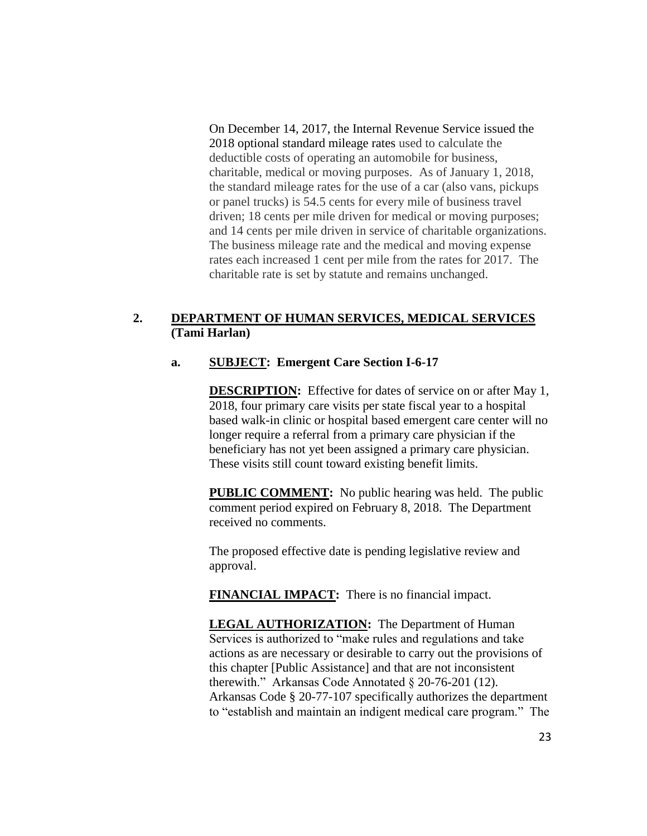On December 14, 2017, the Internal Revenue Service issued the 2018 optional standard mileage rates used to calculate the deductible costs of operating an automobile for business, charitable, medical or moving purposes. As of January 1, 2018, the standard mileage rates for the use of a car (also vans, pickups or panel trucks) is 54.5 cents for every mile of business travel driven; 18 cents per mile driven for medical or moving purposes; and 14 cents per mile driven in service of charitable organizations. The business mileage rate and the medical and moving expense rates each increased 1 cent per mile from the rates for 2017. The charitable rate is set by statute and remains unchanged.

## **2. DEPARTMENT OF HUMAN SERVICES, MEDICAL SERVICES (Tami Harlan)**

## **a. SUBJECT: Emergent Care Section I-6-17**

**DESCRIPTION:** Effective for dates of service on or after May 1, 2018, four primary care visits per state fiscal year to a hospital based walk-in clinic or hospital based emergent care center will no longer require a referral from a primary care physician if the beneficiary has not yet been assigned a primary care physician. These visits still count toward existing benefit limits.

**PUBLIC COMMENT:** No public hearing was held. The public comment period expired on February 8, 2018. The Department received no comments.

The proposed effective date is pending legislative review and approval.

**FINANCIAL IMPACT:** There is no financial impact.

**LEGAL AUTHORIZATION:** The Department of Human Services is authorized to "make rules and regulations and take actions as are necessary or desirable to carry out the provisions of this chapter [Public Assistance] and that are not inconsistent therewith." Arkansas Code Annotated § 20-76-201 (12). Arkansas Code § 20-77-107 specifically authorizes the department to "establish and maintain an indigent medical care program." The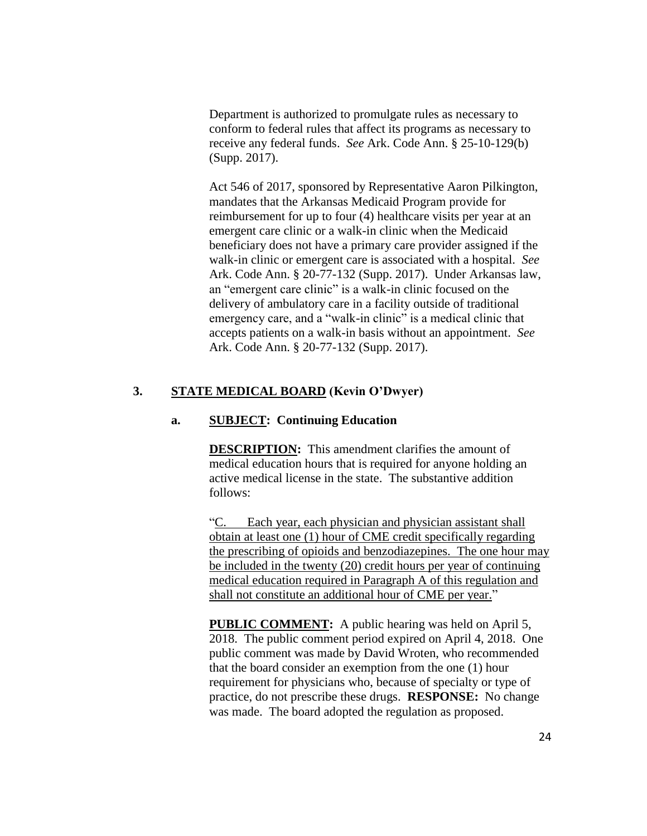Department is authorized to promulgate rules as necessary to conform to federal rules that affect its programs as necessary to receive any federal funds. *See* Ark. Code Ann. § 25-10-129(b) (Supp. 2017).

Act 546 of 2017, sponsored by Representative Aaron Pilkington, mandates that the Arkansas Medicaid Program provide for reimbursement for up to four (4) healthcare visits per year at an emergent care clinic or a walk-in clinic when the Medicaid beneficiary does not have a primary care provider assigned if the walk-in clinic or emergent care is associated with a hospital. *See* Ark. Code Ann. § 20-77-132 (Supp. 2017). Under Arkansas law, an "emergent care clinic" is a walk-in clinic focused on the delivery of ambulatory care in a facility outside of traditional emergency care, and a "walk-in clinic" is a medical clinic that accepts patients on a walk-in basis without an appointment. *See* Ark. Code Ann. § 20-77-132 (Supp. 2017).

## **3. STATE MEDICAL BOARD (Kevin O'Dwyer)**

#### **a. SUBJECT: Continuing Education**

**DESCRIPTION:** This amendment clarifies the amount of medical education hours that is required for anyone holding an active medical license in the state. The substantive addition follows:

"C. Each year, each physician and physician assistant shall obtain at least one (1) hour of CME credit specifically regarding the prescribing of opioids and benzodiazepines. The one hour may be included in the twenty (20) credit hours per year of continuing medical education required in Paragraph A of this regulation and shall not constitute an additional hour of CME per year."

**PUBLIC COMMENT:** A public hearing was held on April 5, 2018. The public comment period expired on April 4, 2018. One public comment was made by David Wroten, who recommended that the board consider an exemption from the one (1) hour requirement for physicians who, because of specialty or type of practice, do not prescribe these drugs. **RESPONSE:** No change was made. The board adopted the regulation as proposed.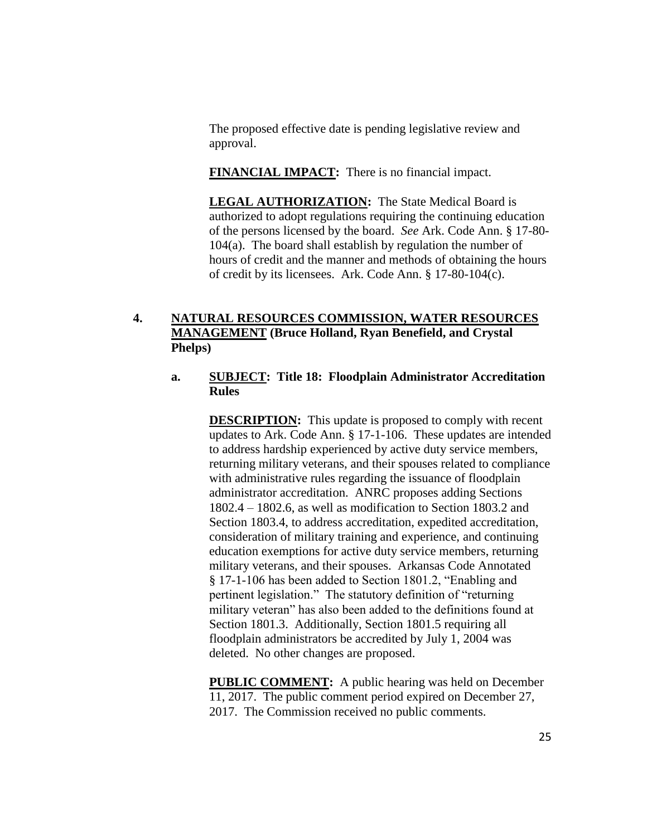The proposed effective date is pending legislative review and approval.

**FINANCIAL IMPACT:** There is no financial impact.

**LEGAL AUTHORIZATION:** The State Medical Board is authorized to adopt regulations requiring the continuing education of the persons licensed by the board. *See* Ark. Code Ann. § 17-80- 104(a). The board shall establish by regulation the number of hours of credit and the manner and methods of obtaining the hours of credit by its licensees. Ark. Code Ann. § 17-80-104(c).

# **4. NATURAL RESOURCES COMMISSION, WATER RESOURCES MANAGEMENT (Bruce Holland, Ryan Benefield, and Crystal Phelps)**

#### **a. SUBJECT: Title 18: Floodplain Administrator Accreditation Rules**

**DESCRIPTION:** This update is proposed to comply with recent updates to Ark. Code Ann. § 17-1-106. These updates are intended to address hardship experienced by active duty service members, returning military veterans, and their spouses related to compliance with administrative rules regarding the issuance of floodplain administrator accreditation. ANRC proposes adding Sections 1802.4 – 1802.6, as well as modification to Section 1803.2 and Section 1803.4, to address accreditation, expedited accreditation, consideration of military training and experience, and continuing education exemptions for active duty service members, returning military veterans, and their spouses. Arkansas Code Annotated § 17-1-106 has been added to Section 1801.2, "Enabling and pertinent legislation." The statutory definition of "returning military veteran" has also been added to the definitions found at Section 1801.3. Additionally, Section 1801.5 requiring all floodplain administrators be accredited by July 1, 2004 was deleted. No other changes are proposed.

**PUBLIC COMMENT:** A public hearing was held on December 11, 2017. The public comment period expired on December 27, 2017. The Commission received no public comments.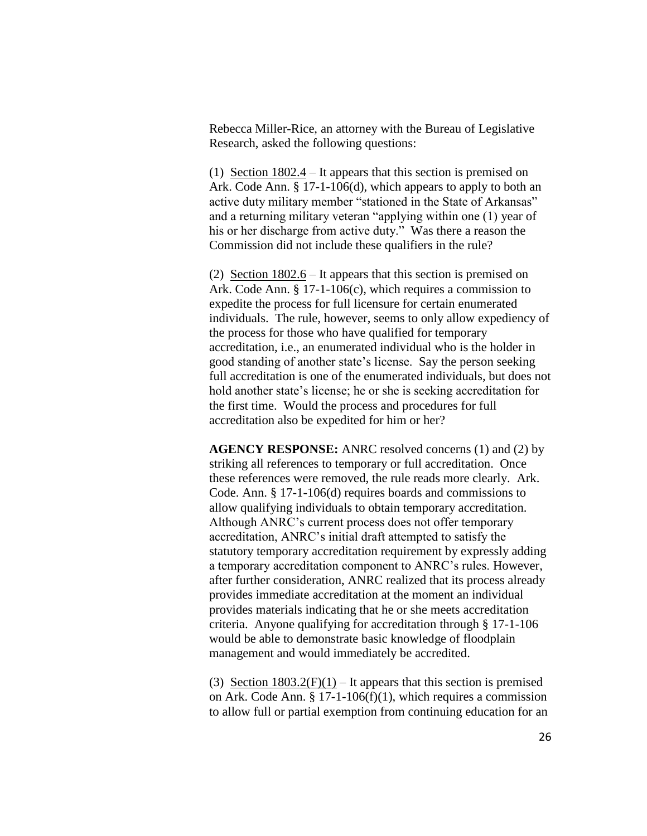Rebecca Miller-Rice, an attorney with the Bureau of Legislative Research, asked the following questions:

(1) Section  $1802.4$  – It appears that this section is premised on Ark. Code Ann. § 17-1-106(d), which appears to apply to both an active duty military member "stationed in the State of Arkansas" and a returning military veteran "applying within one (1) year of his or her discharge from active duty." Was there a reason the Commission did not include these qualifiers in the rule?

(2) Section 1802.6 – It appears that this section is premised on Ark. Code Ann. § 17-1-106(c), which requires a commission to expedite the process for full licensure for certain enumerated individuals. The rule, however, seems to only allow expediency of the process for those who have qualified for temporary accreditation, i.e., an enumerated individual who is the holder in good standing of another state's license. Say the person seeking full accreditation is one of the enumerated individuals, but does not hold another state's license; he or she is seeking accreditation for the first time. Would the process and procedures for full accreditation also be expedited for him or her?

**AGENCY RESPONSE:** ANRC resolved concerns (1) and (2) by striking all references to temporary or full accreditation. Once these references were removed, the rule reads more clearly. Ark. Code. Ann. § 17-1-106(d) requires boards and commissions to allow qualifying individuals to obtain temporary accreditation. Although ANRC's current process does not offer temporary accreditation, ANRC's initial draft attempted to satisfy the statutory temporary accreditation requirement by expressly adding a temporary accreditation component to ANRC's rules. However, after further consideration, ANRC realized that its process already provides immediate accreditation at the moment an individual provides materials indicating that he or she meets accreditation criteria. Anyone qualifying for accreditation through § 17-1-106 would be able to demonstrate basic knowledge of floodplain management and would immediately be accredited.

(3) Section  $1803.2(F)(1) - It$  appears that this section is premised on Ark. Code Ann. § 17-1-106(f)(1), which requires a commission to allow full or partial exemption from continuing education for an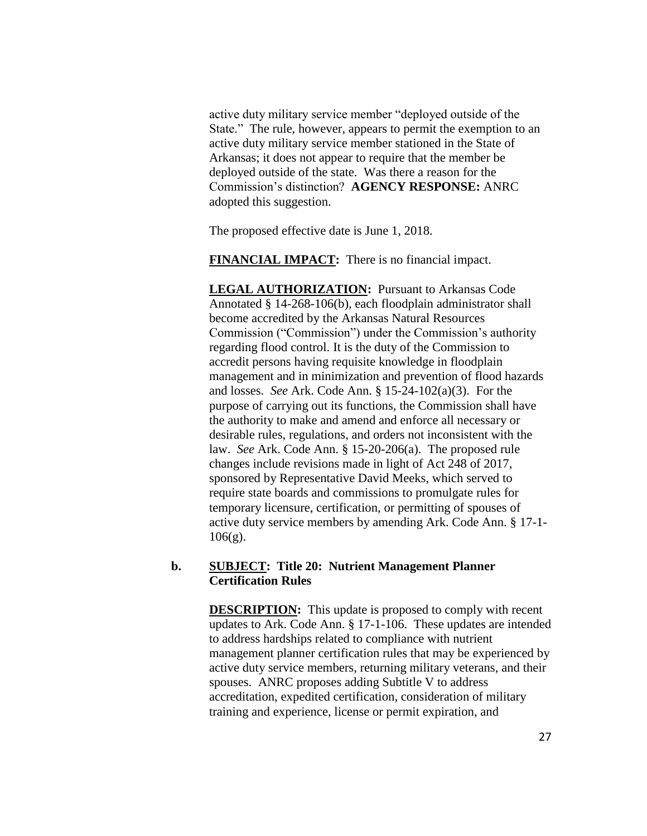active duty military service member "deployed outside of the State." The rule, however, appears to permit the exemption to an active duty military service member stationed in the State of Arkansas; it does not appear to require that the member be deployed outside of the state. Was there a reason for the Commission's distinction? **AGENCY RESPONSE:** ANRC adopted this suggestion.

The proposed effective date is June 1, 2018.

**FINANCIAL IMPACT:** There is no financial impact.

**LEGAL AUTHORIZATION:** Pursuant to Arkansas Code Annotated § 14-268-106(b), each floodplain administrator shall become accredited by the Arkansas Natural Resources Commission ("Commission") under the Commission's authority regarding flood control. It is the duty of the Commission to accredit persons having requisite knowledge in floodplain management and in minimization and prevention of flood hazards and losses. *See* Ark. Code Ann. § 15-24-102(a)(3). For the purpose of carrying out its functions, the Commission shall have the authority to make and amend and enforce all necessary or desirable rules, regulations, and orders not inconsistent with the law. *See* Ark. Code Ann. § 15-20-206(a). The proposed rule changes include revisions made in light of Act 248 of 2017, sponsored by Representative David Meeks, which served to require state boards and commissions to promulgate rules for temporary licensure, certification, or permitting of spouses of active duty service members by amending Ark. Code Ann. § 17-1-  $106(g)$ .

#### **b. SUBJECT: Title 20: Nutrient Management Planner Certification Rules**

**DESCRIPTION:** This update is proposed to comply with recent updates to Ark. Code Ann. § 17-1-106. These updates are intended to address hardships related to compliance with nutrient management planner certification rules that may be experienced by active duty service members, returning military veterans, and their spouses. ANRC proposes adding Subtitle V to address accreditation, expedited certification, consideration of military training and experience, license or permit expiration, and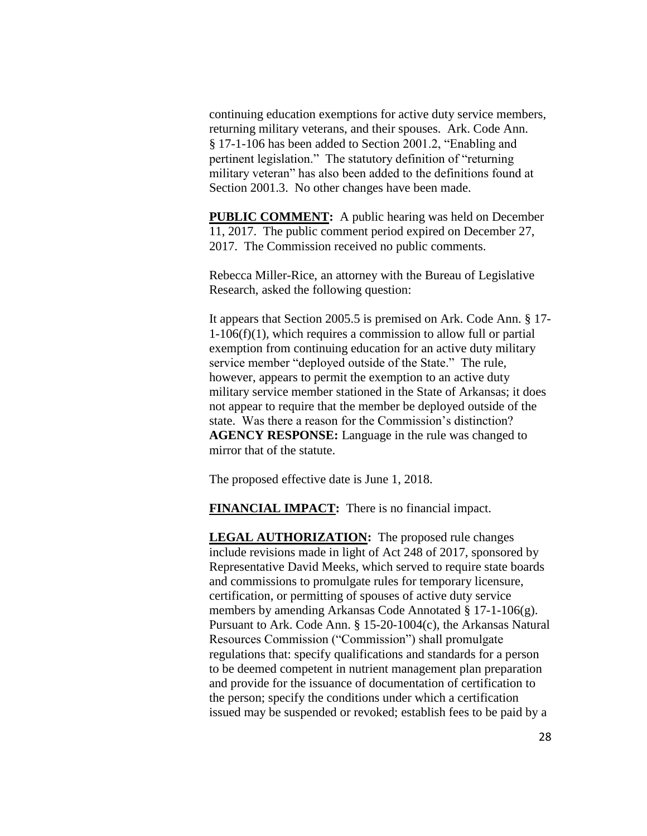continuing education exemptions for active duty service members, returning military veterans, and their spouses. Ark. Code Ann. § 17-1-106 has been added to Section 2001.2, "Enabling and pertinent legislation." The statutory definition of "returning military veteran" has also been added to the definitions found at Section 2001.3. No other changes have been made.

**PUBLIC COMMENT:** A public hearing was held on December 11, 2017. The public comment period expired on December 27, 2017. The Commission received no public comments.

Rebecca Miller-Rice, an attorney with the Bureau of Legislative Research, asked the following question:

It appears that Section 2005.5 is premised on Ark. Code Ann. § 17-  $1-106(f)(1)$ , which requires a commission to allow full or partial exemption from continuing education for an active duty military service member "deployed outside of the State." The rule, however, appears to permit the exemption to an active duty military service member stationed in the State of Arkansas; it does not appear to require that the member be deployed outside of the state. Was there a reason for the Commission's distinction? **AGENCY RESPONSE:** Language in the rule was changed to mirror that of the statute.

The proposed effective date is June 1, 2018.

**FINANCIAL IMPACT:** There is no financial impact.

**LEGAL AUTHORIZATION:** The proposed rule changes include revisions made in light of Act 248 of 2017, sponsored by Representative David Meeks, which served to require state boards and commissions to promulgate rules for temporary licensure, certification, or permitting of spouses of active duty service members by amending Arkansas Code Annotated § 17-1-106(g). Pursuant to Ark. Code Ann. § 15-20-1004(c), the Arkansas Natural Resources Commission ("Commission") shall promulgate regulations that: specify qualifications and standards for a person to be deemed competent in nutrient management plan preparation and provide for the issuance of documentation of certification to the person; specify the conditions under which a certification issued may be suspended or revoked; establish fees to be paid by a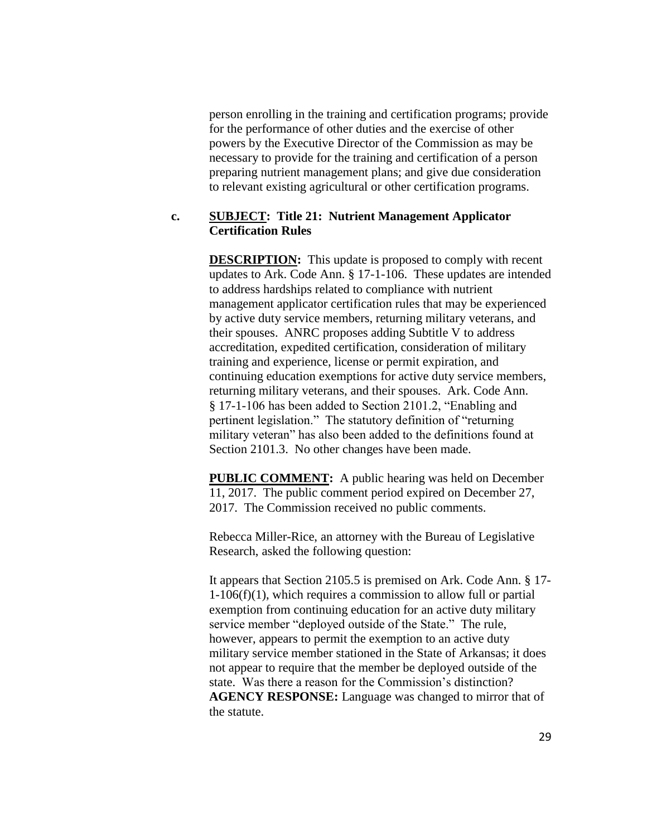person enrolling in the training and certification programs; provide for the performance of other duties and the exercise of other powers by the Executive Director of the Commission as may be necessary to provide for the training and certification of a person preparing nutrient management plans; and give due consideration to relevant existing agricultural or other certification programs.

#### **c. SUBJECT: Title 21: Nutrient Management Applicator Certification Rules**

**DESCRIPTION:** This update is proposed to comply with recent updates to Ark. Code Ann. § 17-1-106. These updates are intended to address hardships related to compliance with nutrient management applicator certification rules that may be experienced by active duty service members, returning military veterans, and their spouses. ANRC proposes adding Subtitle V to address accreditation, expedited certification, consideration of military training and experience, license or permit expiration, and continuing education exemptions for active duty service members, returning military veterans, and their spouses. Ark. Code Ann. § 17-1-106 has been added to Section 2101.2, "Enabling and pertinent legislation." The statutory definition of "returning military veteran" has also been added to the definitions found at Section 2101.3. No other changes have been made.

**PUBLIC COMMENT:** A public hearing was held on December 11, 2017. The public comment period expired on December 27, 2017. The Commission received no public comments.

Rebecca Miller-Rice, an attorney with the Bureau of Legislative Research, asked the following question:

It appears that Section 2105.5 is premised on Ark. Code Ann. § 17- 1-106(f)(1), which requires a commission to allow full or partial exemption from continuing education for an active duty military service member "deployed outside of the State." The rule, however, appears to permit the exemption to an active duty military service member stationed in the State of Arkansas; it does not appear to require that the member be deployed outside of the state. Was there a reason for the Commission's distinction? **AGENCY RESPONSE:** Language was changed to mirror that of the statute.